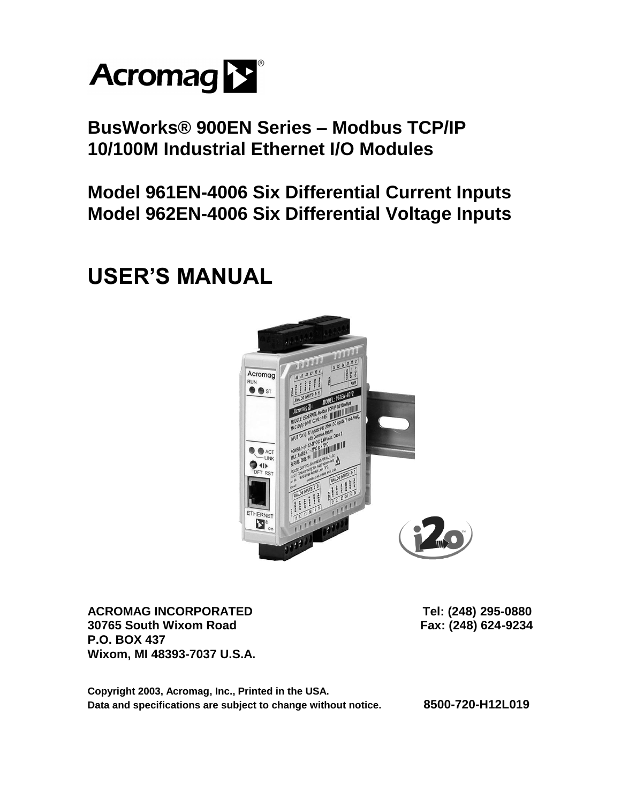

**BusWorks® 900EN Series – Modbus TCP/IP 10/100M Industrial Ethernet I/O Modules** 

**Model 961EN-4006 Six Differential Current Inputs Model 962EN-4006 Six Differential Voltage Inputs** 

# **USER'S MANUAL**



ACROMAG INCORPORATED Tel: (248) 295-0880 **30765 South Wixom Road Fax: (248) 624-9234 P.O. BOX 437 Wixom, MI 48393-7037 U.S.A.** 

**Copyright 2003, Acromag, Inc., Printed in the USA. Data and specifications are subject to change without notice. 8500-720-H12L019**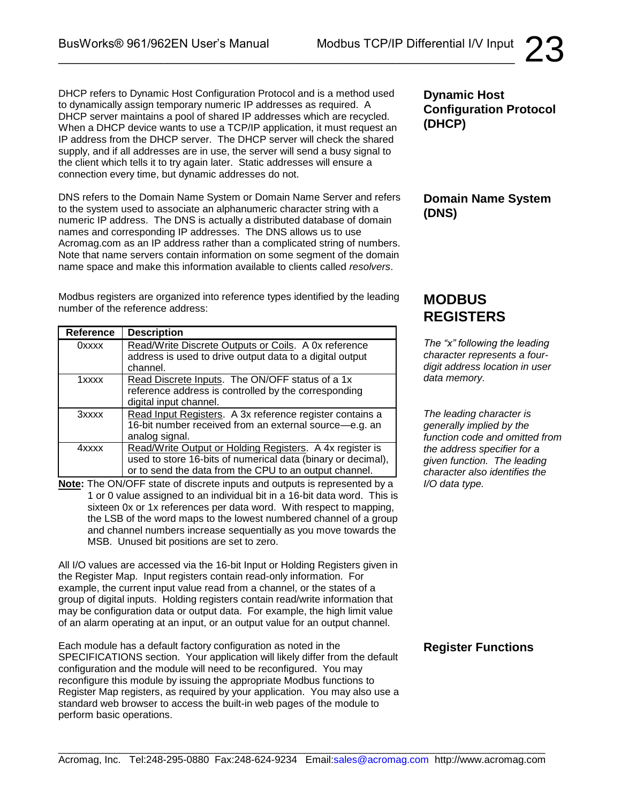DHCP refers to Dynamic Host Configuration Protocol and is a method used to dynamically assign temporary numeric IP addresses as required. A DHCP server maintains a pool of shared IP addresses which are recycled. When a DHCP device wants to use a TCP/IP application, it must request an IP address from the DHCP server. The DHCP server will check the shared supply, and if all addresses are in use, the server will send a busy signal to the client which tells it to try again later. Static addresses will ensure a connection every time, but dynamic addresses do not.

DNS refers to the Domain Name System or Domain Name Server and refers to the system used to associate an alphanumeric character string with a numeric IP address. The DNS is actually a distributed database of domain names and corresponding IP addresses. The DNS allows us to use Acromag.com as an IP address rather than a complicated string of numbers. Note that name servers contain information on some segment of the domain name space and make this information available to clients called *resolvers*.

Modbus registers are organized into reference types identified by the leading number of the reference address:

| <b>Reference</b> | <b>Description</b>                                           |
|------------------|--------------------------------------------------------------|
| 0xxxx            | Read/Write Discrete Outputs or Coils. A 0x reference         |
|                  | address is used to drive output data to a digital output     |
|                  | channel.                                                     |
| 1xxxx            | Read Discrete Inputs. The ON/OFF status of a 1x              |
|                  | reference address is controlled by the corresponding         |
|                  | digital input channel.                                       |
| 3xxxx            | Read Input Registers. A 3x reference register contains a     |
|                  | 16-bit number received from an external source-e.g. an       |
|                  | analog signal.                                               |
| 4xxxx            | Read/Write Output or Holding Registers. A 4x register is     |
|                  | used to store 16-bits of numerical data (binary or decimal), |
|                  | or to send the data from the CPU to an output channel.       |

**Note:** The ON/OFF state of discrete inputs and outputs is represented by a 1 or 0 value assigned to an individual bit in a 16-bit data word. This is sixteen 0x or 1x references per data word. With respect to mapping, the LSB of the word maps to the lowest numbered channel of a group and channel numbers increase sequentially as you move towards the MSB. Unused bit positions are set to zero.

All I/O values are accessed via the 16-bit Input or Holding Registers given in the Register Map. Input registers contain read-only information. For example, the current input value read from a channel, or the states of a group of digital inputs. Holding registers contain read/write information that may be configuration data or output data. For example, the high limit value of an alarm operating at an input, or an output value for an output channel.

Each module has a default factory configuration as noted in the SPECIFICATIONS section. Your application will likely differ from the default configuration and the module will need to be reconfigured. You may reconfigure this module by issuing the appropriate Modbus functions to Register Map registers, as required by your application. You may also use a standard web browser to access the built-in web pages of the module to perform basic operations.

**Dynamic Host Configuration Protocol (DHCP)**

### **Domain Name System (DNS)**

# **MODBUS REGISTERS**

*The "x" following the leading character represents a fourdigit address location in user data memory.*

*The leading character is generally implied by the function code and omitted from the address specifier for a given function. The leading character also identifies the I/O data type.*

### **Register Functions**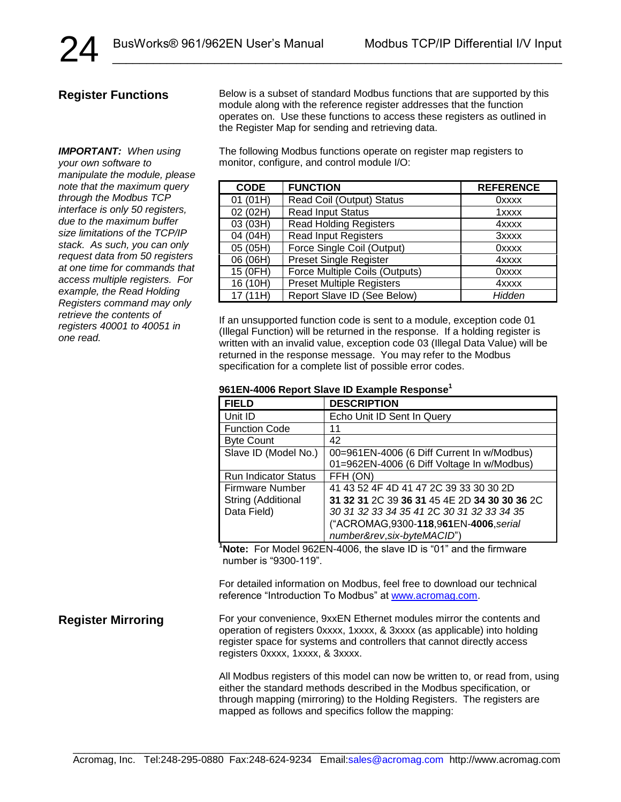#### **Register Functions**

*IMPORTANT: When using your own software to manipulate the module, please note that the maximum query through the Modbus TCP interface is only 50 registers, due to the maximum buffer size limitations of the TCP/IP stack. As such, you can only request data from 50 registers at one time for commands that access multiple registers. For example, the Read Holding Registers command may only retrieve the contents of registers 40001 to 40051 in one read.*

Below is a subset of standard Modbus functions that are supported by this module along with the reference register addresses that the function operates on. Use these functions to access these registers as outlined in the Register Map for sending and retrieving data.

The following Modbus functions operate on register map registers to monitor, configure, and control module I/O:

| <b>CODE</b> | <b>FUNCTION</b>                  | <b>REFERENCE</b> |
|-------------|----------------------------------|------------------|
| 01 (01H)    | Read Coil (Output) Status        | <b>Oxxxx</b>     |
| 02 (02H)    | <b>Read Input Status</b>         | 1xxxx            |
| 03 (03H)    | <b>Read Holding Registers</b>    | 4xxxx            |
| 04 (04H)    | <b>Read Input Registers</b>      | 3xxxx            |
| 05 (05H)    | Force Single Coil (Output)       | 0xxxx            |
| 06 (06H)    | <b>Preset Single Register</b>    | 4xxxx            |
| 15 (0FH)    | Force Multiple Coils (Outputs)   | 0xxxx            |
| 16 (10H)    | <b>Preset Multiple Registers</b> | 4xxxx            |
| 17 (11H)    | Report Slave ID (See Below)      | Hidden           |

If an unsupported function code is sent to a module, exception code 01 (Illegal Function) will be returned in the response. If a holding register is written with an invalid value, exception code 03 (Illegal Data Value) will be returned in the response message. You may refer to the Modbus specification for a complete list of possible error codes.

#### **961EN-4006 Report Slave ID Example Response<sup>1</sup>**

| <b>FIELD</b>                | <b>DESCRIPTION</b>                           |
|-----------------------------|----------------------------------------------|
| Unit ID                     | Echo Unit ID Sent In Query                   |
| <b>Function Code</b>        | 11                                           |
| <b>Byte Count</b>           | 42                                           |
| Slave ID (Model No.)        | 00=961EN-4006 (6 Diff Current In w/Modbus)   |
|                             | 01=962EN-4006 (6 Diff Voltage In w/Modbus)   |
| <b>Run Indicator Status</b> | FFH (ON)                                     |
| <b>Firmware Number</b>      | 41 43 52 4F 4D 41 47 2C 39 33 30 30 2D       |
| String (Additional          | 31 32 31 2C 39 36 31 45 4E 2D 34 30 30 36 2C |
| Data Field)                 | 30 31 32 33 34 35 41 2C 30 31 32 33 34 35    |
|                             | ("ACROMAG, 9300-118, 961 EN-4006, serial     |
|                             | number&rev, six-byteMACID")                  |

**<sup>1</sup>Note:** For Model 962EN-4006, the slave ID is "01" and the firmware number is "9300-119".

For detailed information on Modbus, feel free to download our technical reference "Introduction To Modbus" at www.acromag.com.

**Register Mirroring**

For your convenience, 9xxEN Ethernet modules mirror the contents and operation of registers 0xxxx, 1xxxx, & 3xxxx (as applicable) into holding register space for systems and controllers that cannot directly access registers 0xxxx, 1xxxx, & 3xxxx.

All Modbus registers of this model can now be written to, or read from, using either the standard methods described in the Modbus specification, or through mapping (mirroring) to the Holding Registers. The registers are mapped as follows and specifics follow the mapping: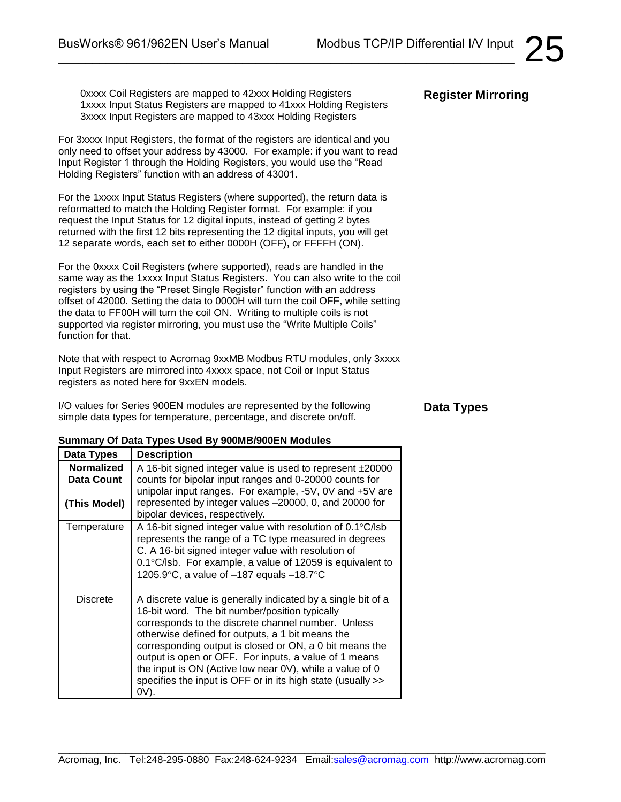0xxxx Coil Registers are mapped to 42xxx Holding Registers 1xxxx Input Status Registers are mapped to 41xxx Holding Registers 3xxxx Input Registers are mapped to 43xxx Holding Registers

\_\_\_\_\_\_\_\_\_\_\_\_\_\_\_\_\_\_\_\_\_\_\_\_\_\_\_\_\_\_\_\_\_\_\_\_\_\_\_\_\_\_\_\_\_\_\_\_\_\_\_\_\_\_\_\_\_\_\_\_\_\_\_\_\_\_\_

For 3xxxx Input Registers, the format of the registers are identical and you only need to offset your address by 43000. For example: if you want to read Input Register 1 through the Holding Registers, you would use the "Read Holding Registers" function with an address of 43001.

For the 1xxxx Input Status Registers (where supported), the return data is reformatted to match the Holding Register format. For example: if you request the Input Status for 12 digital inputs, instead of getting 2 bytes returned with the first 12 bits representing the 12 digital inputs, you will get 12 separate words, each set to either 0000H (OFF), or FFFFH (ON).

For the 0xxxx Coil Registers (where supported), reads are handled in the same way as the 1xxxx Input Status Registers. You can also write to the coil registers by using the "Preset Single Register" function with an address offset of 42000. Setting the data to 0000H will turn the coil OFF, while setting the data to FF00H will turn the coil ON. Writing to multiple coils is not supported via register mirroring, you must use the "Write Multiple Coils" function for that.

Note that with respect to Acromag 9xxMB Modbus RTU modules, only 3xxxx Input Registers are mirrored into 4xxxx space, not Coil or Input Status registers as noted here for 9xxEN models.

I/O values for Series 900EN modules are represented by the following simple data types for temperature, percentage, and discrete on/off.

#### **Data Types**

#### **Summary Of Data Types Used By 900MB/900EN Modules**

| Data Types                               | <b>Description</b>                                                                                                                                                                                                                                                                                                                                                                                                                                                              |
|------------------------------------------|---------------------------------------------------------------------------------------------------------------------------------------------------------------------------------------------------------------------------------------------------------------------------------------------------------------------------------------------------------------------------------------------------------------------------------------------------------------------------------|
| Normalized<br>Data Count<br>(This Model) | A 16-bit signed integer value is used to represent $\pm 20000$<br>counts for bipolar input ranges and 0-20000 counts for<br>unipolar input ranges. For example, -5V, 0V and +5V are<br>represented by integer values -20000, 0, and 20000 for<br>bipolar devices, respectively.                                                                                                                                                                                                 |
| Temperature                              | A 16-bit signed integer value with resolution of $0.1^{\circ}$ C/lsb<br>represents the range of a TC type measured in degrees<br>C. A 16-bit signed integer value with resolution of<br>0.1°C/lsb. For example, a value of 12059 is equivalent to<br>1205.9 $\textdegree$ C, a value of -187 equals -18.7 $\textdegree$ C                                                                                                                                                       |
|                                          |                                                                                                                                                                                                                                                                                                                                                                                                                                                                                 |
| Discrete                                 | A discrete value is generally indicated by a single bit of a<br>16-bit word. The bit number/position typically<br>corresponds to the discrete channel number. Unless<br>otherwise defined for outputs, a 1 bit means the<br>corresponding output is closed or ON, a 0 bit means the<br>output is open or OFF. For inputs, a value of 1 means<br>the input is ON (Active low near 0V), while a value of 0<br>specifies the input is OFF or in its high state (usually >><br>0V). |

### **Register Mirroring**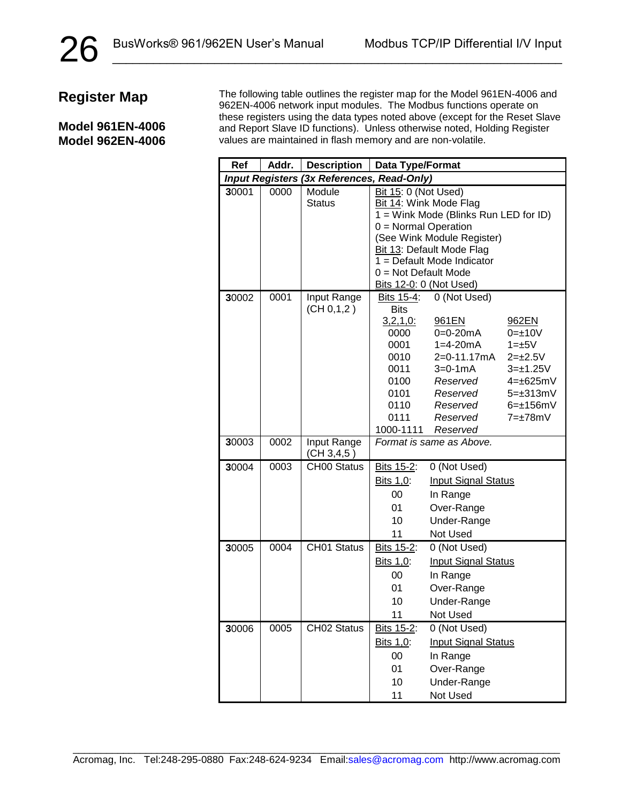#### **Model 961EN-4006 Model 962EN-4006**

The following table outlines the register map for the Model 961EN-4006 and 962EN-4006 network input modules. The Modbus functions operate on these registers using the data types noted above (except for the Reset Slave and Report Slave ID functions). Unless otherwise noted, Holding Register values are maintained in flash memory and are non-volatile.

| Ref   | Addr.                  | <b>Description</b>          | Data Type/Format                                                                                                   |                                                                                                                                                                                     |                                                                                                                                                         |
|-------|------------------------|-----------------------------|--------------------------------------------------------------------------------------------------------------------|-------------------------------------------------------------------------------------------------------------------------------------------------------------------------------------|---------------------------------------------------------------------------------------------------------------------------------------------------------|
|       | <b>Input Registers</b> | (3x References, Read-Only)  |                                                                                                                    |                                                                                                                                                                                     |                                                                                                                                                         |
| 30001 | 0000                   | Module<br><b>Status</b>     | Bit 15: 0 (Not Used)<br>$0 = Normal Operation$<br>$0 = Not Default Mode$                                           | Bit 14: Wink Mode Flag<br>1 = Wink Mode (Blinks Run LED for ID)<br>(See Wink Module Register)<br>Bit 13: Default Mode Flag<br>1 = Default Mode Indicator<br>Bits 12-0: 0 (Not Used) |                                                                                                                                                         |
| 30002 | 0001                   | Input Range<br>(CH 0, 1, 2) | Bits 15-4:<br><b>Bits</b><br>3,2,1,0:<br>0000<br>0001<br>0010<br>0011<br>0100<br>0101<br>0110<br>0111<br>1000-1111 | 0 (Not Used)<br>961EN<br>$0=0-20mA$<br>$1 = 4 - 20mA$<br>2=0-11.17mA<br>$3 = 0.1 \text{ mA}$<br>Reserved<br>Reserved<br>Reserved<br>Reserved<br>Reserved                            | 962EN<br>$0 = \pm 10V$<br>$1 = \pm 5V$<br>$2 = \pm 2.5V$<br>$3 = \pm 1.25V$<br>$4=+625mV$<br>$5 = \pm 313$ mV<br>$6 = \pm 156$ mV<br>$7 = \pm 78$ m $V$ |
| 30003 | 0002                   | Input Range<br>(CH 3,4,5)   |                                                                                                                    | Format is same as Above.                                                                                                                                                            |                                                                                                                                                         |
| 30004 | 0003                   | <b>CH00 Status</b>          | Bits 15-2:<br>Bits 1,0:<br>00<br>01<br>10<br>11                                                                    | 0 (Not Used)<br><b>Input Signal Status</b><br>In Range<br>Over-Range<br>Under-Range<br>Not Used                                                                                     |                                                                                                                                                         |
| 30005 | 0004                   | CH01 Status                 | Bits 15-2:<br>Bits 1,0:<br>00<br>01<br>10<br>11                                                                    | 0 (Not Used)<br><b>Input Signal Status</b><br>In Range<br>Over-Range<br>Under-Range<br>Not Used                                                                                     |                                                                                                                                                         |
| 30006 | 0005                   | CH02 Status                 | Bits 15-2:<br>Bits 1,0:<br>00<br>01<br>10<br>11                                                                    | 0 (Not Used)<br><b>Input Signal Status</b><br>In Range<br>Over-Range<br>Under-Range<br>Not Used                                                                                     |                                                                                                                                                         |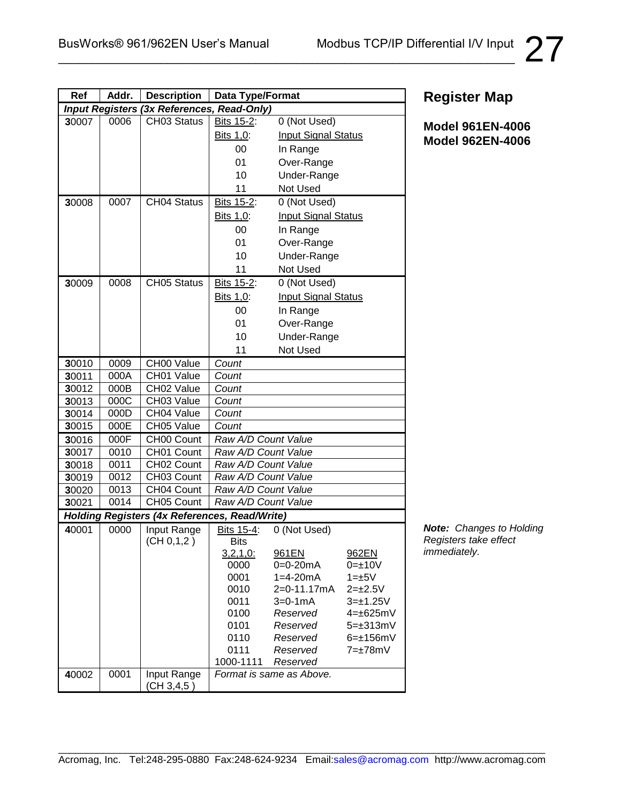| Ref   | Addr. | <b>Description</b>                                   | Data Type/Format        |                            |                    |
|-------|-------|------------------------------------------------------|-------------------------|----------------------------|--------------------|
|       |       | Input Registers (3x References, Read-Only)           |                         |                            |                    |
| 30007 | 0006  | CH03 Status                                          | Bits 15-2:              | 0 (Not Used)               |                    |
|       |       |                                                      | Bits 1,0:               | <b>Input Signal Status</b> |                    |
|       |       |                                                      | 00                      | In Range                   |                    |
|       |       |                                                      | 01                      | Over-Range                 |                    |
|       |       |                                                      | 10                      | Under-Range                |                    |
|       |       |                                                      | 11                      | Not Used                   |                    |
| 30008 | 0007  | <b>CH04 Status</b>                                   | Bits 15-2:              | 0 (Not Used)               |                    |
|       |       |                                                      | Bits 1,0:               | <b>Input Signal Status</b> |                    |
|       |       |                                                      | 00                      | In Range                   |                    |
|       |       |                                                      | 01                      | Over-Range                 |                    |
|       |       |                                                      | 10                      | Under-Range                |                    |
|       |       |                                                      | 11                      | Not Used                   |                    |
| 30009 | 0008  | <b>CH05 Status</b>                                   | Bits 15-2:              | 0 (Not Used)               |                    |
|       |       |                                                      | Bits 1,0:               | <b>Input Signal Status</b> |                    |
|       |       |                                                      | 00                      | In Range                   |                    |
|       |       |                                                      | 01                      | Over-Range                 |                    |
|       |       |                                                      | 10                      | Under-Range                |                    |
|       |       |                                                      | 11                      | Not Used                   |                    |
| 30010 | 0009  | CH00 Value                                           | Count                   |                            |                    |
| 30011 | 000A  | CH01 Value                                           | Count                   |                            |                    |
| 30012 | 000B  | CH02 Value                                           | Count                   |                            |                    |
| 30013 | 000C  | CH03 Value                                           | Count                   |                            |                    |
| 30014 | 000D  | CH04 Value                                           | Count                   |                            |                    |
| 30015 | 000E  | CH05 Value                                           | Count                   |                            |                    |
| 30016 | 000F  | CH00 Count                                           | Raw A/D Count Value     |                            |                    |
| 30017 | 0010  | CH01 Count                                           | Raw A/D Count Value     |                            |                    |
| 30018 | 0011  | CH02 Count                                           | Raw A/D Count Value     |                            |                    |
| 30019 | 0012  | CH03 Count                                           | Raw A/D Count Value     |                            |                    |
| 30020 | 0013  | CH04 Count                                           | Raw A/D Count Value     |                            |                    |
| 30021 | 0014  | CH05 Count                                           | Raw A/D Count Value     |                            |                    |
|       |       | <b>Holding Registers (4x References, Read/Write)</b> |                         |                            |                    |
| 40001 | 0000  | Input Range                                          | Bits 15-4:              | 0 (Not Used)               |                    |
|       |       | (CH 0, 1, 2)                                         | <b>Bits</b>             | 961EN                      | 962EN              |
|       |       |                                                      | <u>3,2,1,0:</u><br>0000 | $0=0-20mA$                 | $0 = \pm 10V$      |
|       |       |                                                      | 0001                    | $1 = 4 - 20mA$             | $1 = \pm 5V$       |
|       |       |                                                      | 0010                    | 2=0-11.17mA                | $2 = \pm 2.5V$     |
|       |       |                                                      | 0011                    | $3 = 0 - 1$ mA             | $3 = \pm 1.25V$    |
|       |       |                                                      | 0100                    | Reserved                   | $4=+625mV$         |
|       |       |                                                      | 0101                    | Reserved                   | $5 = \pm 313$ mV   |
|       |       |                                                      | 0110                    | Reserved                   | $6 = \pm 156$ mV   |
|       |       |                                                      | 0111                    | Reserved                   | $7 = \pm 78$ m $V$ |
|       |       |                                                      | 1000-1111               | Reserved                   |                    |
| 40002 | 0001  | Input Range<br>(CH 3, 4, 5)                          |                         | Format is same as Above.   |                    |

**Model 961EN-4006 Model 962EN-4006**

*Note: Changes to Holding Registers take effect immediately.*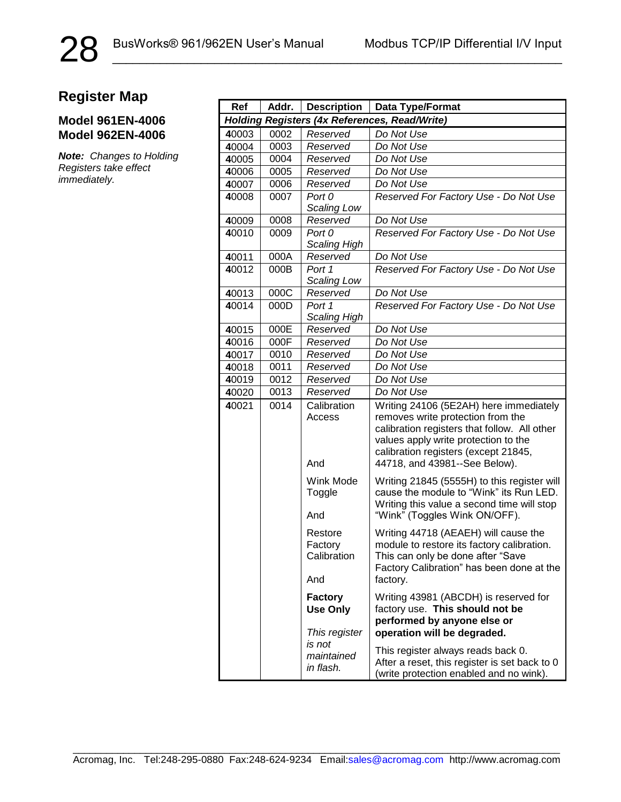28

### **Model 961EN-4006 Model 962EN-4006**

*Note: Changes to Holding Registers take effect immediately.*

| Ref                                                  | Addr. | <b>Description</b>                                 | Data Type/Format                                                                                                                                                                                                                             |
|------------------------------------------------------|-------|----------------------------------------------------|----------------------------------------------------------------------------------------------------------------------------------------------------------------------------------------------------------------------------------------------|
| <b>Holding Registers (4x References, Read/Write)</b> |       |                                                    |                                                                                                                                                                                                                                              |
| 40003                                                | 0002  | Reserved                                           | Do Not Use                                                                                                                                                                                                                                   |
| 40004                                                | 0003  | Reserved                                           | Do Not Use                                                                                                                                                                                                                                   |
| 40005                                                | 0004  | Reserved                                           | Do Not Use                                                                                                                                                                                                                                   |
| 40006                                                | 0005  | Reserved                                           | Do Not Use                                                                                                                                                                                                                                   |
| 40007                                                | 0006  | Reserved                                           | Do Not Use                                                                                                                                                                                                                                   |
| 40008                                                | 0007  | Port 0<br>Scaling Low                              | Reserved For Factory Use - Do Not Use                                                                                                                                                                                                        |
| 40009                                                | 0008  | Reserved                                           | Do Not Use                                                                                                                                                                                                                                   |
| 40010                                                | 0009  | Port 0<br><b>Scaling High</b>                      | Reserved For Factory Use - Do Not Use                                                                                                                                                                                                        |
| 40011                                                | 000A  | Reserved                                           | Do Not Use                                                                                                                                                                                                                                   |
| 40012                                                | 000B  | Port 1<br><b>Scaling Low</b>                       | Reserved For Factory Use - Do Not Use                                                                                                                                                                                                        |
| 40013                                                | 000C  | Reserved                                           | Do Not Use                                                                                                                                                                                                                                   |
| 40014                                                | 000D  | Port 1<br><b>Scaling High</b>                      | Reserved For Factory Use - Do Not Use                                                                                                                                                                                                        |
| 40015                                                | 000E  | Reserved                                           | Do Not Use                                                                                                                                                                                                                                   |
| 40016                                                | 000F  | Reserved                                           | Do Not Use                                                                                                                                                                                                                                   |
| 40017                                                | 0010  | Reserved                                           | Do Not Use                                                                                                                                                                                                                                   |
| 40018                                                | 0011  | Reserved                                           | Do Not Use                                                                                                                                                                                                                                   |
| 40019                                                | 0012  | Reserved                                           | Do Not Use                                                                                                                                                                                                                                   |
| 40020                                                | 0013  | Reserved                                           | Do Not Use                                                                                                                                                                                                                                   |
| 40021                                                | 0014  | Calibration<br>Access<br>And                       | Writing 24106 (5E2AH) here immediately<br>removes write protection from the<br>calibration registers that follow. All other<br>values apply write protection to the<br>calibration registers (except 21845,<br>44718, and 43981--See Below). |
|                                                      |       | Wink Mode<br>Toggle<br>And                         | Writing 21845 (5555H) to this register will<br>cause the module to "Wink" its Run LED.<br>Writing this value a second time will stop<br>"Wink" (Toggles Wink ON/OFF).                                                                        |
|                                                      |       | Restore<br>Factory<br>Calibration<br>And           | Writing 44718 (AEAEH) will cause the<br>module to restore its factory calibration.<br>This can only be done after "Save<br>Factory Calibration" has been done at the<br>factory.                                                             |
|                                                      |       | <b>Factory</b><br><b>Use Only</b><br>This register | Writing 43981 (ABCDH) is reserved for<br>factory use. This should not be<br>performed by anyone else or<br>operation will be degraded.                                                                                                       |
|                                                      |       | is not<br>maintained<br>in flash.                  | This register always reads back 0.<br>After a reset, this register is set back to 0<br>(write protection enabled and no wink).                                                                                                               |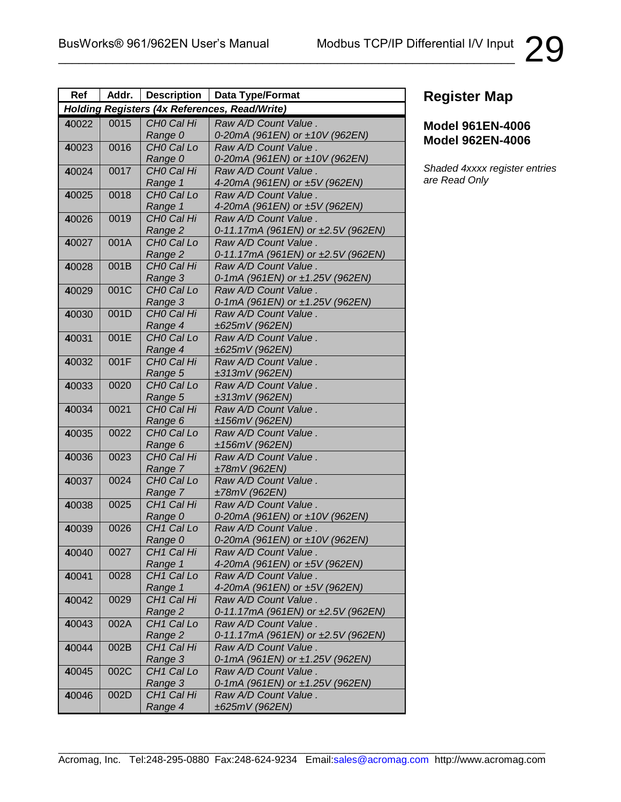| Ref                                                  | Addr. | <b>Description</b>     | <b>Data Type/Format</b>                |
|------------------------------------------------------|-------|------------------------|----------------------------------------|
| <b>Holding Registers (4x References, Read/Write)</b> |       |                        |                                        |
| 40022                                                | 0015  | CHO Cal Hi             | Raw A/D Count Value.                   |
|                                                      |       | Range 0                | 0-20mA (961EN) or ±10V (962EN)         |
| 40023                                                | 0016  | CHO Cal Lo             | Raw A/D Count Value.                   |
|                                                      |       | Range 0                | 0-20mA (961EN) or ±10V (962EN)         |
| 40024                                                | 0017  | CHO Cal Hi             | Raw A/D Count Value.                   |
|                                                      |       | Range 1                | 4-20mA (961EN) or ±5V (962EN)          |
| 40025                                                | 0018  | CHO Cal Lo             | Raw A/D Count Value.                   |
|                                                      |       | Range 1                | 4-20mA (961EN) or ±5V (962EN)          |
| 40026                                                | 0019  | CHO Cal Hi             | Raw A/D Count Value.                   |
|                                                      |       | Range 2                | 0-11.17mA (961EN) or ±2.5V (962EN)     |
| 40027                                                | 001A  | CHO Cal Lo             | Raw A/D Count Value.                   |
|                                                      |       | Range 2                | 0-11.17mA (961EN) or ±2.5V (962EN)     |
| 40028                                                | 001B  | CHO Cal Hi             | Raw A/D Count Value.                   |
|                                                      |       | Range 3                | 0-1mA (961EN) or ±1.25V (962EN)        |
| 40029                                                | 001C  | CHO Cal Lo             | Raw A/D Count Value.                   |
|                                                      |       | Range 3                | 0-1mA (961EN) or ±1.25V (962EN)        |
| 40030                                                | 001D  | CHO Cal Hi             | Raw A/D Count Value.                   |
|                                                      |       | Range 4                | ±625mV (962EN)                         |
| 40031                                                | 001E  | CHO Cal Lo             | Raw A/D Count Value.                   |
|                                                      |       | Range 4                | ±625mV (962EN)                         |
| 40032                                                | 001F  | CHO Cal Hi             | Raw A/D Count Value.                   |
|                                                      |       | Range 5                | ±313mV (962EN)                         |
| 40033                                                | 0020  | CHO Cal Lo             | Raw A/D Count Value.                   |
|                                                      | 0021  | Range 5<br>CHO Cal Hi  | ±313mV (962EN)                         |
| 40034                                                |       | Range 6                | Raw A/D Count Value.<br>±156mV (962EN) |
| 40035                                                | 0022  | CHO Cal Lo             | Raw A/D Count Value.                   |
|                                                      |       | Range 6                | ±156mV (962EN)                         |
| 40036                                                | 0023  | CHO Cal Hi             | Raw A/D Count Value.                   |
|                                                      |       | Range 7                | ±78mV (962EN)                          |
| 40037                                                | 0024  | CHO Cal Lo             | Raw A/D Count Value.                   |
|                                                      |       | Range 7                | ±78mV (962EN)                          |
| 40038                                                | 0025  | CH <sub>1</sub> Cal Hi | Raw A/D Count Value.                   |
|                                                      |       | Range 0                | 0-20mA (961EN) or ±10V (962EN)         |
| 40039                                                | 0026  | CH <sub>1</sub> Cal Lo | Raw A/D Count Value.                   |
|                                                      |       | Range 0                | 0-20mA (961EN) or ±10V (962EN)         |
| 40040                                                | 0027  | CH <sub>1</sub> Cal Hi | Raw A/D Count Value.                   |
|                                                      |       | Range 1                | 4-20mA (961EN) or ±5V (962EN)          |
| 40041                                                | 0028  | CH <sub>1</sub> Cal Lo | Raw A/D Count Value.                   |
|                                                      |       | Range 1                | 4-20mA (961EN) or ±5V (962EN)          |
| 40042                                                | 0029  | CH <sub>1</sub> Cal Hi | Raw A/D Count Value.                   |
|                                                      |       | Range 2                | 0-11.17mA (961EN) or ±2.5V (962EN)     |
| 40043                                                | 002A  | CH <sub>1</sub> Cal Lo | Raw A/D Count Value.                   |
|                                                      |       | Range 2                | 0-11.17mA (961EN) or ±2.5V (962EN)     |
| 40044                                                | 002B  | CH <sub>1</sub> Cal Hi | Raw A/D Count Value.                   |
|                                                      |       | Range 3                | 0-1mA (961EN) or ±1.25V (962EN)        |
| 40045                                                | 002C  | CH <sub>1</sub> Cal Lo | Raw A/D Count Value.                   |
|                                                      |       | Range 3                | 0-1mA (961EN) or ±1.25V (962EN)        |
| 40046                                                | 002D  | CH <sub>1</sub> Cal Hi | Raw A/D Count Value.                   |
|                                                      |       | Range 4                | ±625mV (962EN)                         |

\_\_\_\_\_\_\_\_\_\_\_\_\_\_\_\_\_\_\_\_\_\_\_\_\_\_\_\_\_\_\_\_\_\_\_\_\_\_\_\_\_\_\_\_\_\_\_\_\_\_\_\_\_\_\_\_\_\_\_\_\_\_\_\_\_\_\_

# **Register Map**

### **Model 961EN-4006 Model 962EN-4006**

*Shaded 4xxxx register entries are Read Only*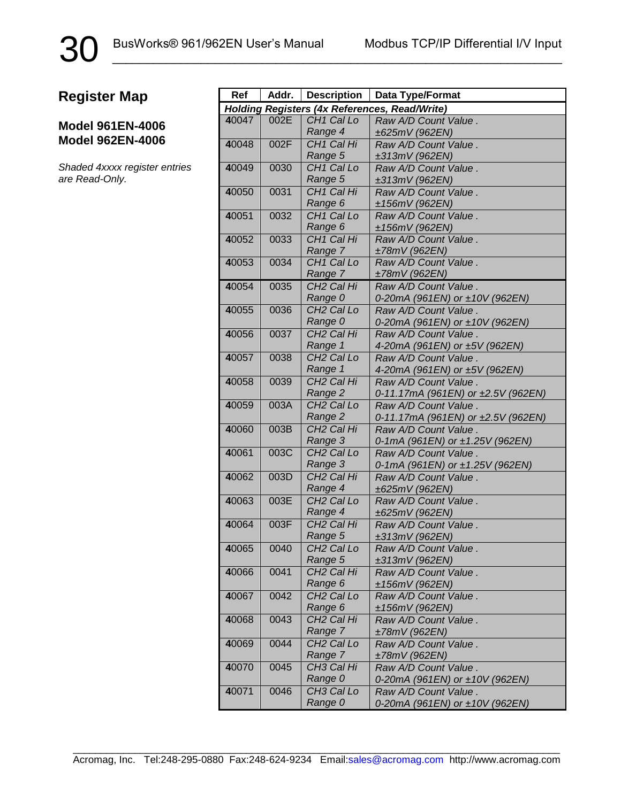30

#### **Model 961EN-4006 Model 962EN-4006**

*Shaded 4xxxx register entries are Read-Only.*

| Ref                                                  | Addr. | <b>Description</b>                | Data Type/Format                       |
|------------------------------------------------------|-------|-----------------------------------|----------------------------------------|
| <b>Holding Registers (4x References, Read/Write)</b> |       |                                   |                                        |
| 40047                                                | 002E  | CH <sub>1</sub> Cal Lo            | Raw A/D Count Value.                   |
|                                                      |       | Range 4                           | ±625mV (962EN)                         |
| 40048                                                | 002F  | CH <sub>1</sub> Cal Hi            | Raw A/D Count Value.                   |
|                                                      |       | Range 5                           | ±313mV (962EN)                         |
| 40049                                                | 0030  | CH <sub>1</sub> Cal Lo            | Raw A/D Count Value.                   |
|                                                      |       | Range 5                           | ±313mV (962EN)                         |
| 40050                                                | 0031  | CH <sub>1</sub> Cal Hi            | Raw A/D Count Value.                   |
|                                                      |       | Range 6                           | ±156mV (962EN)                         |
| 40051                                                | 0032  | CH <sub>1</sub> Cal Lo            | Raw A/D Count Value.                   |
|                                                      |       | Range 6                           | ±156mV (962EN)                         |
| 40052                                                | 0033  | CH <sub>1</sub> Cal Hi            | Raw A/D Count Value.                   |
|                                                      |       | Range 7                           | ±78mV (962EN)                          |
| 40053                                                | 0034  | CH <sub>1</sub> Cal Lo            | Raw A/D Count Value.                   |
| 40054                                                | 0035  | Range 7<br>CH <sub>2</sub> Cal Hi | ±78mV (962EN)<br>Raw A/D Count Value.  |
|                                                      |       | Range 0                           | 0-20mA (961EN) or ±10V (962EN)         |
| 40055                                                | 0036  | CH <sub>2</sub> Cal Lo            | Raw A/D Count Value.                   |
|                                                      |       | Range 0                           | 0-20mA (961EN) or ±10V (962EN)         |
| 40056                                                | 0037  | CH <sub>2</sub> Cal Hi            | Raw A/D Count Value.                   |
|                                                      |       | Range 1                           | 4-20mA (961EN) or ±5V (962EN)          |
| 40057                                                | 0038  | CH <sub>2</sub> Cal Lo            | Raw A/D Count Value.                   |
|                                                      |       | Range 1                           | 4-20mA (961EN) or ±5V (962EN)          |
| 40058                                                | 0039  | CH <sub>2</sub> Cal Hi            | Raw A/D Count Value.                   |
|                                                      |       | Range 2                           | 0-11.17mA (961EN) or ±2.5V (962EN)     |
| 40059                                                | 003A  | CH <sub>2</sub> Cal Lo            | Raw A/D Count Value.                   |
|                                                      |       | Range 2                           | 0-11.17mA (961EN) or ±2.5V (962EN)     |
| 40060                                                | 003B  | CH <sub>2</sub> Cal Hi            | Raw A/D Count Value.                   |
|                                                      |       | Range 3                           | 0-1mA (961EN) or ±1.25V (962EN)        |
| 40061                                                | 003C  | CH <sub>2</sub> Cal Lo            | Raw A/D Count Value.                   |
|                                                      |       | Range 3                           | 0-1mA (961EN) or ±1.25V (962EN)        |
| 40062                                                | 003D  | CH <sub>2</sub> Cal Hi            | Raw A/D Count Value.                   |
|                                                      |       | Range 4                           | ±625mV (962EN)                         |
| 40063                                                | 003E  | CH <sub>2</sub> Cal Lo            | Raw A/D Count Value.                   |
|                                                      |       | Range 4                           | ±625mV (962EN)                         |
| 40064                                                | 003F  | CH <sub>2</sub> Cal Hi            | Raw A/D Count Value.                   |
|                                                      |       | Range 5                           | ±313mV (962EN)                         |
| 40065                                                | 0040  | CH <sub>2</sub> Cal Lo<br>Range 5 | Raw A/D Count Value.                   |
| 40066                                                | 0041  | CH <sub>2</sub> Cal Hi            | ±313mV (962EN)<br>Raw A/D Count Value. |
|                                                      |       | Range 6                           | ±156mV (962EN)                         |
| 40067                                                | 0042  | CH <sub>2</sub> Cal Lo            | Raw A/D Count Value.                   |
|                                                      |       | Range 6                           | ±156mV (962EN)                         |
| 40068                                                | 0043  | CH <sub>2</sub> Cal Hi            | Raw A/D Count Value.                   |
|                                                      |       | Range 7                           | ±78mV (962EN)                          |
| 40069                                                | 0044  | CH <sub>2</sub> Cal Lo            | Raw A/D Count Value.                   |
|                                                      |       | Range 7                           | ±78mV (962EN)                          |
| 40070                                                | 0045  | CH <sub>3</sub> Cal Hi            | Raw A/D Count Value.                   |
|                                                      |       | Range 0                           | 0-20mA (961EN) or ±10V (962EN)         |
| 40071                                                | 0046  | CH <sub>3</sub> Cal Lo            | Raw A/D Count Value.                   |
|                                                      |       | Range 0                           | 0-20mA (961EN) or ±10V (962EN)         |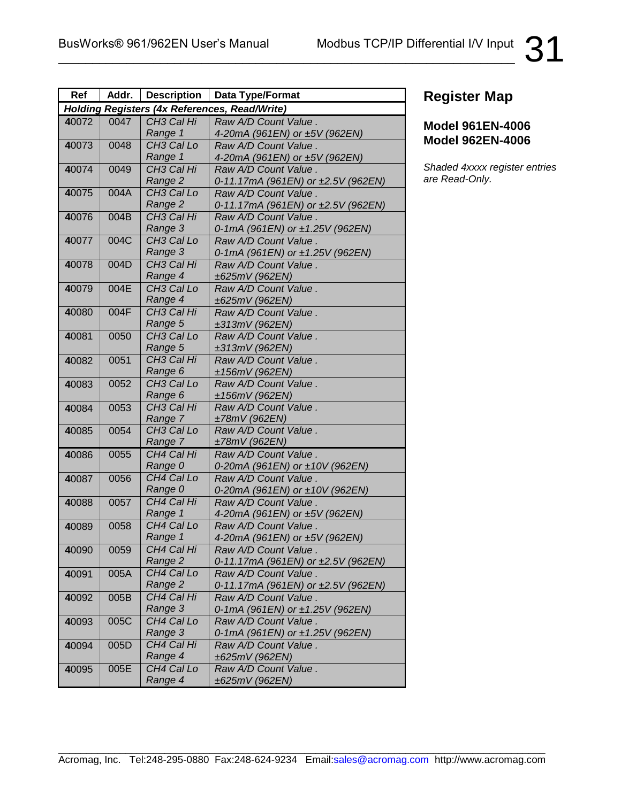| Ref                                                  | Addr. | <b>Description</b>     | Data Type/Format                   |
|------------------------------------------------------|-------|------------------------|------------------------------------|
| <b>Holding Registers (4x References, Read/Write)</b> |       |                        |                                    |
| 40072                                                | 0047  | CH <sub>3</sub> Cal Hi | Raw A/D Count Value.               |
|                                                      |       | Range 1                | 4-20mA (961EN) or ±5V (962EN)      |
| 40073                                                | 0048  | CH <sub>3</sub> Cal Lo | Raw A/D Count Value.               |
|                                                      |       | Range 1                | 4-20mA (961EN) or ±5V (962EN)      |
| 40074                                                | 0049  | CH <sub>3</sub> Cal Hi | Raw A/D Count Value.               |
|                                                      |       | Range 2                | 0-11.17mA (961EN) or ±2.5V (962EN) |
| 40075                                                | 004A  | CH <sub>3</sub> Cal Lo | Raw A/D Count Value.               |
|                                                      |       | Range 2                | 0-11.17mA (961EN) or ±2.5V (962EN) |
| 40076                                                | 004B  | CH <sub>3</sub> Cal Hi | Raw A/D Count Value.               |
|                                                      |       | Range 3                | 0-1mA (961EN) or ±1.25V (962EN)    |
| 40077                                                | 004C  | CH <sub>3</sub> Cal Lo | Raw A/D Count Value.               |
|                                                      |       | Range 3                | 0-1mA (961EN) or ±1.25V (962EN)    |
| 40078                                                | 004D  | CH <sub>3</sub> Cal Hi | Raw A/D Count Value.               |
|                                                      |       | Range 4                | ±625mV (962EN)                     |
| 40079                                                | 004E  | CH <sub>3</sub> Cal Lo | Raw A/D Count Value.               |
|                                                      |       | Range 4                | ±625mV (962EN)                     |
| 40080                                                | 004F  | CH <sub>3</sub> Cal Hi | Raw A/D Count Value.               |
|                                                      |       | Range 5                | ±313mV (962EN)                     |
| 40081                                                | 0050  | CH <sub>3</sub> Cal Lo | Raw A/D Count Value.               |
|                                                      |       | Range 5                | ±313mV (962EN)                     |
| 40082                                                | 0051  | CH <sub>3</sub> Cal Hi | Raw A/D Count Value.               |
|                                                      |       | Range 6                | ±156mV (962EN)                     |
| 40083                                                | 0052  | CH <sub>3</sub> Cal Lo | Raw A/D Count Value.               |
|                                                      |       | Range 6                | ±156mV (962EN)                     |
| 40084                                                | 0053  | CH <sub>3</sub> Cal Hi | Raw A/D Count Value.               |
|                                                      |       | Range 7                | ±78mV (962EN)                      |
| 40085                                                | 0054  | CH <sub>3</sub> Cal Lo | Raw A/D Count Value.               |
|                                                      |       | Range 7                | ±78mV (962EN)                      |
| 40086                                                | 0055  | CH4 Cal Hi             | Raw A/D Count Value.               |
|                                                      |       | Range 0                | 0-20mA (961EN) or ±10V (962EN)     |
| 40087                                                | 0056  | CH4 Cal Lo             | Raw A/D Count Value.               |
|                                                      |       | Range 0                | 0-20mA (961EN) or ±10V (962EN)     |
| 40088                                                | 0057  | CH4 Cal Hi             | Raw A/D Count Value.               |
|                                                      |       | Range 1                | 4-20mA (961EN) or ±5V (962EN)      |
| 40089                                                | 0058  | CH4 Cal Lo             | Raw A/D Count Value.               |
|                                                      |       | Range 1                | 4-20mA (961EN) or ±5V (962EN)      |
| 40090                                                | 0059  | CH4 Cal Hi             | Raw A/D Count Value.               |
|                                                      |       | Range 2                | 0-11.17mA (961EN) or ±2.5V (962EN) |
| 40091                                                | 005A  | CH4 Cal Lo             | Raw A/D Count Value.               |
|                                                      |       | Range 2                | 0-11.17mA (961EN) or ±2.5V (962EN) |
| 40092                                                | 005B  | CH4 Cal Hi             | Raw A/D Count Value.               |
|                                                      |       | Range 3                | 0-1mA (961EN) or ±1.25V (962EN)    |
| 40093                                                | 005C  | CH4 Cal Lo             | Raw A/D Count Value.               |
|                                                      |       | Range 3                | 0-1mA (961EN) or ±1.25V (962EN)    |
| 40094                                                | 005D  | CH4 Cal Hi             | Raw A/D Count Value.               |
|                                                      |       | Range 4                | ±625mV (962EN)                     |
| 40095                                                | 005E  | CH4 Cal Lo             | Raw A/D Count Value.               |
|                                                      |       | Range 4                | ±625mV (962EN)                     |

### **Model 961EN-4006 Model 962EN-4006**

*Shaded 4xxxx register entries are Read-Only.*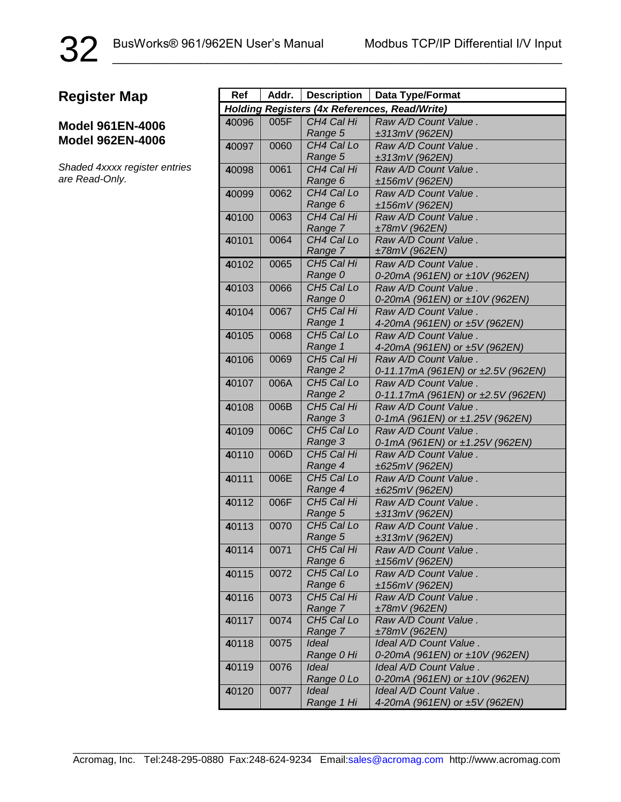32

#### **Model 961EN-4006 Model 962EN-4006**

*Shaded 4xxxx register entries are Read-Only.*

| Ref                                           | Addr. | <b>Description</b>                | Data Type/Format                                      |
|-----------------------------------------------|-------|-----------------------------------|-------------------------------------------------------|
| Holding Registers (4x References, Read/Write) |       |                                   |                                                       |
| 40096                                         | 005F  | CH4 Cal Hi                        | Raw A/D Count Value.                                  |
|                                               |       | Range 5                           | ±313mV (962EN)                                        |
| 40097                                         | 0060  | CH4 Cal Lo                        | Raw A/D Count Value.                                  |
|                                               |       | Range 5                           | ±313mV (962EN)                                        |
| 40098                                         | 0061  | CH4 Cal Hi                        | Raw A/D Count Value.                                  |
|                                               |       | Range 6                           | ±156mV (962EN)                                        |
| 40099                                         | 0062  | CH4 Cal Lo                        | Raw A/D Count Value.                                  |
|                                               |       | Range 6                           | ±156mV (962EN)                                        |
| 40100                                         | 0063  | CH4 Cal Hi                        | Raw A/D Count Value.                                  |
|                                               |       | Range 7                           | ±78mV (962EN)                                         |
| 40101                                         | 0064  | CH4 Cal Lo                        | Raw A/D Count Value.                                  |
|                                               |       | Range 7                           | ±78mV (962EN)                                         |
| 40102                                         | 0065  | CH5 Cal Hi                        | Raw A/D Count Value.                                  |
|                                               |       | Range 0                           | 0-20mA (961EN) or ±10V (962EN)                        |
| 40103                                         | 0066  | CH5 Cal Lo                        | Raw A/D Count Value.                                  |
|                                               |       | Range 0                           | 0-20mA (961EN) or ±10V (962EN)                        |
| 40104                                         | 0067  | CH5 Cal Hi                        | Raw A/D Count Value.                                  |
|                                               |       | Range 1                           | 4-20mA (961EN) or ±5V (962EN)                         |
| 40105                                         | 0068  | CH <sub>5</sub> Cal Lo            | Raw A/D Count Value.                                  |
|                                               | 0069  | Range 1<br>CH <sub>5</sub> Cal Hi | 4-20mA (961EN) or ±5V (962EN)<br>Raw A/D Count Value. |
| 40106                                         |       | Range 2                           | 0-11.17mA (961EN) or ±2.5V (962EN)                    |
| 40107                                         | 006A  | CH <sub>5</sub> Cal Lo            | Raw A/D Count Value .                                 |
|                                               |       | Range 2                           | 0-11.17mA (961EN) or ±2.5V (962EN)                    |
| 40108                                         | 006B  | CH5 Cal Hi                        | Raw A/D Count Value.                                  |
|                                               |       | Range 3                           | 0-1mA (961EN) or ±1.25V (962EN)                       |
| 40109                                         | 006C  | CH <sub>5</sub> Cal Lo            | Raw A/D Count Value.                                  |
|                                               |       | Range 3                           | 0-1mA (961EN) or ±1.25V (962EN)                       |
| 40110                                         | 006D  | CH5 Cal Hi                        | Raw A/D Count Value.                                  |
|                                               |       | Range 4                           | ±625mV (962EN)                                        |
| 40111                                         | 006E  | CH5 Cal Lo                        | Raw A/D Count Value.                                  |
|                                               |       | Range 4                           | ±625mV (962EN)                                        |
| 40112                                         | 006F  | CH5 Cal Hi                        | Raw A/D Count Value.                                  |
|                                               |       | Range 5                           | ±313mV (962EN)                                        |
| 40113                                         | 0070  | CH5 Cal Lo                        | Raw A/D Count Value.                                  |
|                                               |       | Range 5                           | ±313mV (962EN)                                        |
| 40114                                         | 0071  | CH5 Cal Hi                        | Raw A/D Count Value.                                  |
|                                               |       | Range 6                           | ±156mV (962EN)                                        |
| 40115                                         | 0072  | CH5 Cal Lo                        | Raw A/D Count Value.                                  |
|                                               |       | Range 6                           | ±156mV (962EN)                                        |
| 40116                                         | 0073  | CH5 Cal Hi<br>Range 7             | Raw A/D Count Value.<br>±78mV (962EN)                 |
| 40117                                         | 0074  | CH5 Cal Lo                        | Raw A/D Count Value.                                  |
|                                               |       | Range 7                           | ±78mV (962EN)                                         |
| 40118                                         | 0075  | Ideal                             | Ideal A/D Count Value.                                |
|                                               |       | Range 0 Hi                        | 0-20mA (961EN) or ±10V (962EN)                        |
| 40119                                         | 0076  | Ideal                             | Ideal A/D Count Value.                                |
|                                               |       | Range 0 Lo                        | 0-20mA (961EN) or ±10V (962EN)                        |
| 40120                                         | 0077  | Ideal                             | Ideal A/D Count Value.                                |
|                                               |       | Range 1 Hi                        | 4-20mA (961EN) or ±5V (962EN)                         |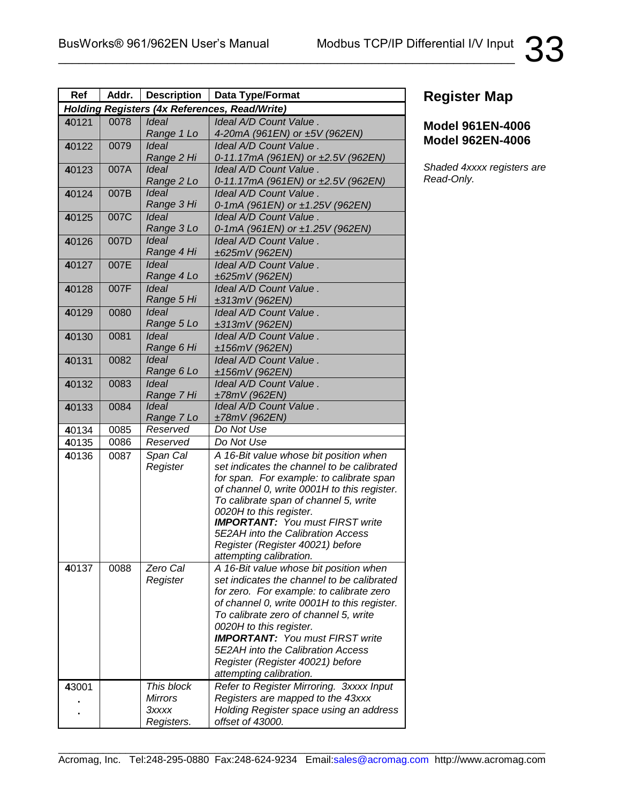| Ref                                                  | Addr. | <b>Description</b>         | <b>Data Type/Format</b>                                           |
|------------------------------------------------------|-------|----------------------------|-------------------------------------------------------------------|
| <b>Holding Registers (4x References, Read/Write)</b> |       |                            |                                                                   |
| 40121                                                | 0078  | Ideal                      | Ideal A/D Count Value.                                            |
|                                                      |       | Range 1 Lo                 | 4-20mA (961EN) or ±5V (962EN)                                     |
| 40122                                                | 0079  | Ideal                      | Ideal A/D Count Value.                                            |
|                                                      |       | Range 2 Hi                 | 0-11.17mA (961EN) or ±2.5V (962EN)                                |
| 40123                                                | 007A  | <b>Ideal</b>               | Ideal A/D Count Value.                                            |
|                                                      |       | Range 2 Lo                 | 0-11.17mA (961EN) or ±2.5V (962EN)                                |
| 40124                                                | 007B  | <b>Ideal</b>               | Ideal A/D Count Value.                                            |
|                                                      |       | Range 3 Hi                 | 0-1mA (961EN) or ±1.25V (962EN)                                   |
| 40125                                                | 007C  | Ideal                      | Ideal A/D Count Value.                                            |
|                                                      |       | Range 3 Lo                 | 0-1mA (961EN) or ±1.25V (962EN)                                   |
| 40126                                                | 007D  | <b>Ideal</b>               | Ideal A/D Count Value.                                            |
|                                                      |       | Range 4 Hi                 | ±625mV (962EN)                                                    |
| 40127                                                | 007E  | <b>Ideal</b>               | Ideal A/D Count Value.                                            |
|                                                      |       | Range 4 Lo                 | ±625mV (962EN)                                                    |
| 40128                                                | 007F  | <b>Ideal</b>               | Ideal A/D Count Value.                                            |
|                                                      |       | Range 5 Hi                 | ±313mV (962EN)                                                    |
| 40129                                                | 0080  | <b>Ideal</b>               | Ideal A/D Count Value.                                            |
|                                                      |       | Range 5 Lo                 | ±313mV (962EN)                                                    |
| 40130                                                | 0081  | <b>Ideal</b>               | Ideal A/D Count Value.                                            |
|                                                      |       | Range 6 Hi<br><b>Ideal</b> | ±156mV (962EN)                                                    |
| 40131                                                | 0082  | Range 6 Lo                 | Ideal A/D Count Value.                                            |
|                                                      |       | <b>Ideal</b>               | ±156mV (962EN)<br>Ideal A/D Count Value.                          |
| 40132                                                | 0083  | Range 7 Hi                 | ±78mV (962EN)                                                     |
| 40133                                                | 0084  | <b>Ideal</b>               | Ideal A/D Count Value.                                            |
|                                                      |       | Range 7 Lo                 | ±78mV (962EN)                                                     |
| 40134                                                | 0085  | Reserved                   | Do Not Use                                                        |
| 40135                                                | 0086  | Reserved                   | Do Not Use                                                        |
| 40136                                                | 0087  | Span Cal                   | A 16-Bit value whose bit position when                            |
|                                                      |       | Register                   | set indicates the channel to be calibrated                        |
|                                                      |       |                            | for span. For example: to calibrate span                          |
|                                                      |       |                            | of channel 0, write 0001H to this register.                       |
|                                                      |       |                            | To calibrate span of channel 5, write                             |
|                                                      |       |                            | 0020H to this register.                                           |
|                                                      |       |                            | <b>IMPORTANT:</b> You must FIRST write                            |
|                                                      |       |                            | 5E2AH into the Calibration Access                                 |
|                                                      |       |                            | Register (Register 40021) before                                  |
| 40137                                                | 0088  | Zero Cal                   | attempting calibration.<br>A 16-Bit value whose bit position when |
|                                                      |       | Register                   | set indicates the channel to be calibrated                        |
|                                                      |       |                            | for zero. For example: to calibrate zero                          |
|                                                      |       |                            | of channel 0, write 0001H to this register.                       |
|                                                      |       |                            | To calibrate zero of channel 5, write                             |
|                                                      |       |                            | 0020H to this register.                                           |
|                                                      |       |                            | <b>IMPORTANT:</b> You must FIRST write                            |
|                                                      |       |                            | 5E2AH into the Calibration Access                                 |
|                                                      |       |                            | Register (Register 40021) before                                  |
|                                                      |       |                            | attempting calibration.                                           |
| 43001                                                |       | This block                 | Refer to Register Mirroring. 3xxxx Input                          |
|                                                      |       | <b>Mirrors</b>             | Registers are mapped to the 43xxx                                 |
|                                                      |       | Зхххх                      | Holding Register space using an address                           |
|                                                      |       | Registers.                 | offset of 43000.                                                  |

#### **Model 961EN-4006 Model 962EN-4006**

*Shaded 4xxxx registers are Read-Only.*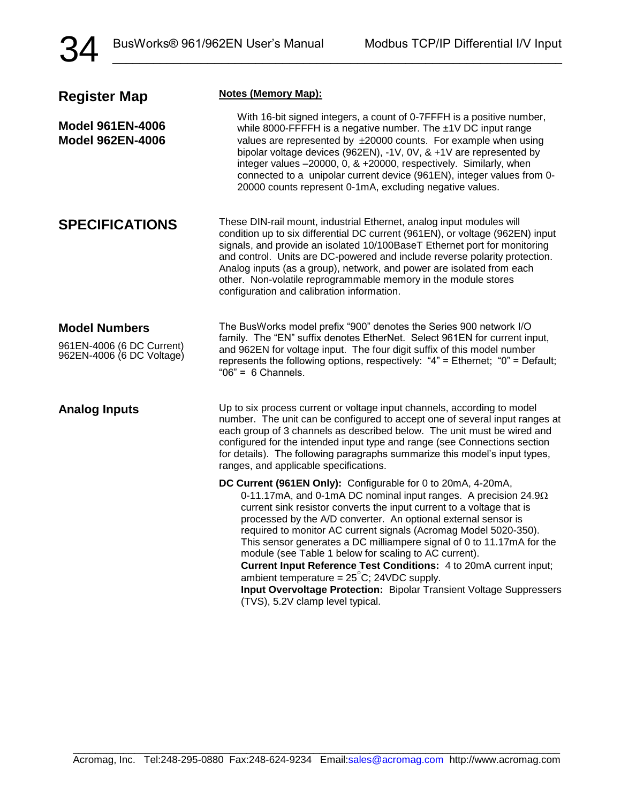34

| <b>Register Map</b>                                                            | <b>Notes (Memory Map):</b>                                                                                                                                                                                                                                                                                                                                                                                                                                                                                                                                                                                                                                                                                                     |  |
|--------------------------------------------------------------------------------|--------------------------------------------------------------------------------------------------------------------------------------------------------------------------------------------------------------------------------------------------------------------------------------------------------------------------------------------------------------------------------------------------------------------------------------------------------------------------------------------------------------------------------------------------------------------------------------------------------------------------------------------------------------------------------------------------------------------------------|--|
| <b>Model 961EN-4006</b><br><b>Model 962EN-4006</b>                             | With 16-bit signed integers, a count of 0-7FFFH is a positive number,<br>while 8000-FFFFH is a negative number. The ±1V DC input range<br>values are represented by ±20000 counts. For example when using<br>bipolar voltage devices (962EN), -1V, 0V, & +1V are represented by<br>integer values -20000, 0, & +20000, respectively. Similarly, when<br>connected to a unipolar current device (961EN), integer values from 0-<br>20000 counts represent 0-1mA, excluding negative values.                                                                                                                                                                                                                                     |  |
| <b>SPECIFICATIONS</b>                                                          | These DIN-rail mount, industrial Ethernet, analog input modules will<br>condition up to six differential DC current (961EN), or voltage (962EN) input<br>signals, and provide an isolated 10/100BaseT Ethernet port for monitoring<br>and control. Units are DC-powered and include reverse polarity protection.<br>Analog inputs (as a group), network, and power are isolated from each<br>other. Non-volatile reprogrammable memory in the module stores<br>configuration and calibration information.                                                                                                                                                                                                                      |  |
| <b>Model Numbers</b><br>961EN-4006 (6 DC Current)<br>962EN-4006 (6 DC Voltage) | The BusWorks model prefix "900" denotes the Series 900 network I/O<br>family. The "EN" suffix denotes EtherNet. Select 961EN for current input,<br>and 962EN for voltage input. The four digit suffix of this model number<br>represents the following options, respectively: "4" = Ethernet; "0" = Default;<br>" $06" = 6$ Channels.                                                                                                                                                                                                                                                                                                                                                                                          |  |
| <b>Analog Inputs</b>                                                           | Up to six process current or voltage input channels, according to model<br>number. The unit can be configured to accept one of several input ranges at<br>each group of 3 channels as described below. The unit must be wired and<br>configured for the intended input type and range (see Connections section<br>for details). The following paragraphs summarize this model's input types,<br>ranges, and applicable specifications.                                                                                                                                                                                                                                                                                         |  |
|                                                                                | DC Current (961EN Only): Configurable for 0 to 20mA, 4-20mA,<br>0-11.17mA, and 0-1mA DC nominal input ranges. A precision $24.9\Omega$<br>current sink resistor converts the input current to a voltage that is<br>processed by the A/D converter. An optional external sensor is<br>required to monitor AC current signals (Acromag Model 5020-350).<br>This sensor generates a DC milliampere signal of 0 to 11.17mA for the<br>module (see Table 1 below for scaling to AC current).<br>Current Input Reference Test Conditions: 4 to 20mA current input;<br>ambient temperature = $25^{\circ}$ C; 24VDC supply.<br>Input Overvoltage Protection: Bipolar Transient Voltage Suppressers<br>(TVS), 5.2V clamp level typical. |  |